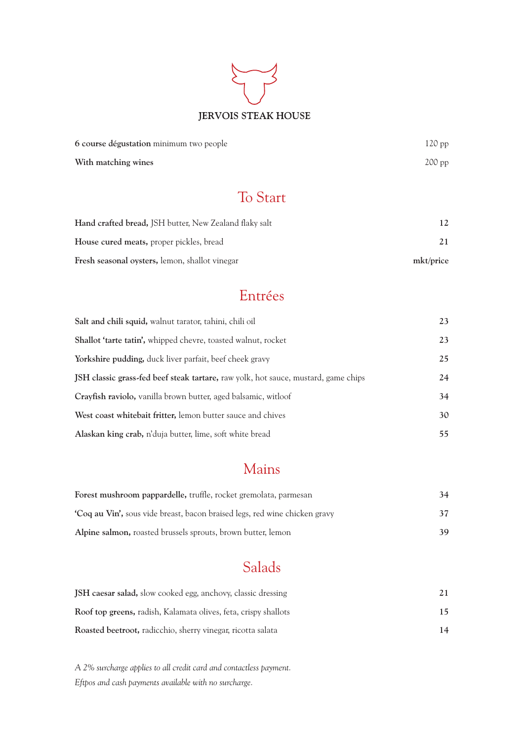# **JERVOIS STEAK HOUSE**

| 6 course dégustation minimum two people | $120$ pp |
|-----------------------------------------|----------|
| With matching wines                     | $200$ pp |

## To Start

| <b>Hand crafted bread, JSH butter, New Zealand flaky salt</b> | 12.       |
|---------------------------------------------------------------|-----------|
| <b>House cured meats, proper pickles, bread</b>               |           |
| <b>Fresh seasonal oysters, lemon, shallot vinegar</b>         | mkt/price |

## Entrées

| Salt and chili squid, walnut tarator, tahini, chili oil                            | 23 |
|------------------------------------------------------------------------------------|----|
| Shallot 'tarte tatin', whipped chevre, toasted walnut, rocket                      | 23 |
| Yorkshire pudding, duck liver parfait, beef cheek gravy                            | 25 |
| JSH classic grass-fed beef steak tartare, raw yolk, hot sauce, mustard, game chips | 24 |
| Crayfish raviolo, vanilla brown butter, aged balsamic, witloof                     | 34 |
| West coast whitebait fritter, lemon butter sauce and chives                        | 30 |
| Alaskan king crab, n'duja butter, lime, soft white bread                           | 55 |

## Mains

| Forest mushroom pappardelle, truffle, rocket gremolata, parmesan                 | 34  |
|----------------------------------------------------------------------------------|-----|
| <b>Coq au Vin',</b> sous vide breast, bacon braised legs, red wine chicken gravy | 37  |
| Alpine salmon, roasted brussels sprouts, brown butter, lemon                     | 39. |

## Salads

| <b>JSH</b> caesar salad, slow cooked egg, anchovy, classic dressing    |    |
|------------------------------------------------------------------------|----|
| <b>Roof top greens, radish, Kalamata olives, feta, crispy shallots</b> | 15 |
| Roasted beetroot, radicchio, sherry vinegar, ricotta salata            | 14 |

*A 2% surcharge applies to all credit card and contactless payment. Eftpos and cash payments available with no surcharge.*